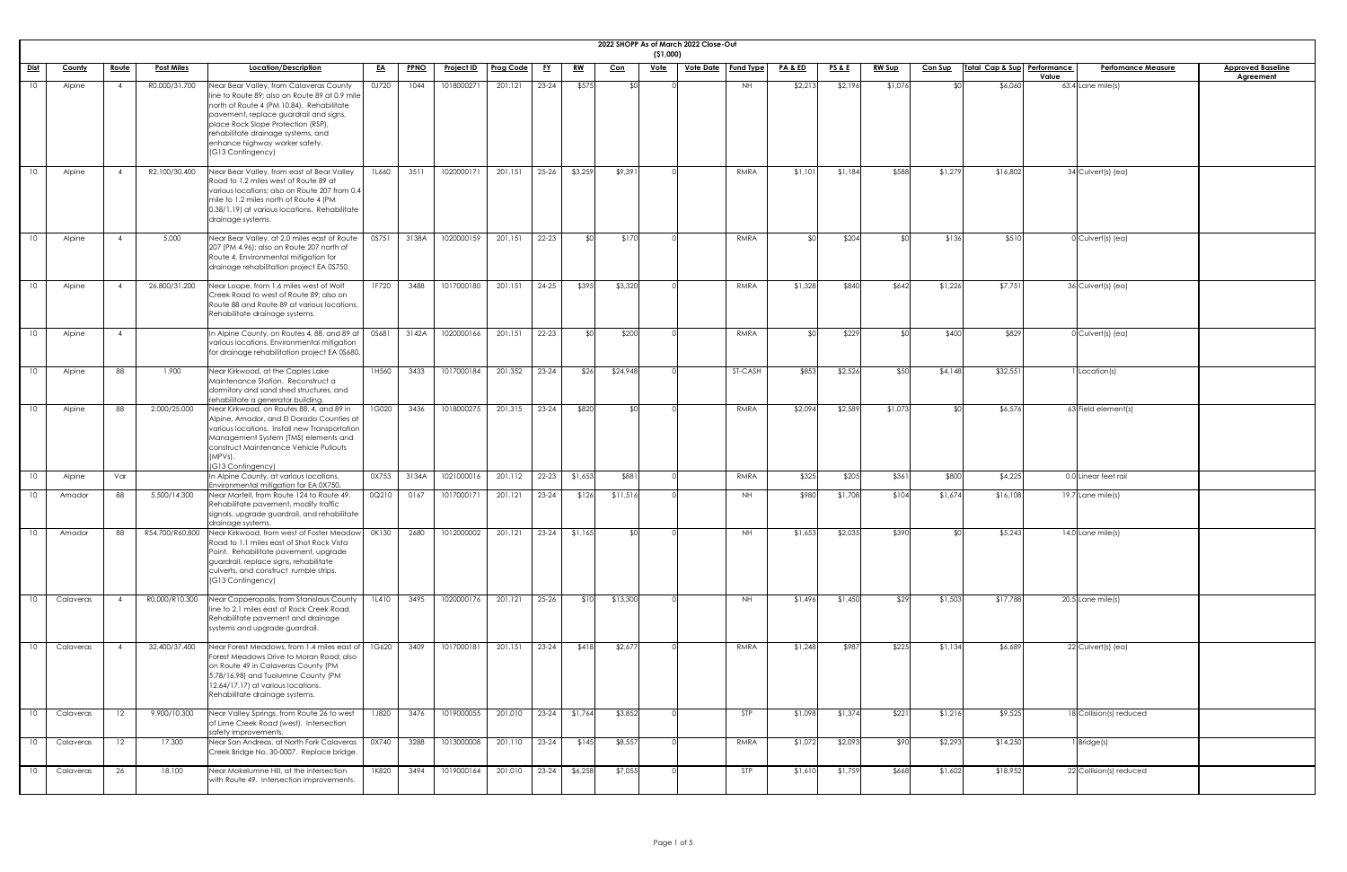|                 |               |              |                   |                                                                                                                                                                                                                                                                                                                    |              |             |                   |                  |           |           |            | (51,000)    | 2022 SHOPP As of March 2022 Close-Out |                  |                    |                 |               |                |                             |                                    |                                              |
|-----------------|---------------|--------------|-------------------|--------------------------------------------------------------------------------------------------------------------------------------------------------------------------------------------------------------------------------------------------------------------------------------------------------------------|--------------|-------------|-------------------|------------------|-----------|-----------|------------|-------------|---------------------------------------|------------------|--------------------|-----------------|---------------|----------------|-----------------------------|------------------------------------|----------------------------------------------|
| <u>Dist</u>     | <b>County</b> | <u>Route</u> | <b>Post Miles</b> | Location/Description                                                                                                                                                                                                                                                                                               | <u>EA</u>    | <b>PPNO</b> | <u>Project ID</u> | <b>Prog Code</b> | <u>FY</u> | <u>RW</u> | <u>Con</u> | <u>Vote</u> | <u>Vote Date</u>                      | <b>Fund Type</b> | <u>PA &amp; ED</u> | <u>PS&amp;E</u> | <u>RW Sup</u> | <b>Con Sup</b> | Total Cap & Sup Performance | <b>Perfomance Measure</b><br>Value | <b>Approved Baseline</b><br><b>Agreement</b> |
| 10 <sup>°</sup> | Alpine        |              | R0.000/31.700     | Near Bear Valley, from Calaveras County<br>line to Route 89; also on Route 89 at 0.9 mile<br>north of Route 4 (PM 10.84). Rehabilitate<br>pavement, replace guardrail and signs,<br>place Rock Slope Protection (RSP)<br>rehabilitate drainage systems, and<br>enhance highway worker safety.<br>(G13 Contingency) | 0J720        | 1044        | 1018000271        | 201.121          | $23 - 24$ | \$575     | - \$0.     |             |                                       | NH               | \$2,213            | \$2,196         | \$1,076       | ላ ሮ            | \$6,060                     | $63.4$ Lane mile(s)                |                                              |
| 10 <sup>1</sup> | Alpine        |              | R2.100/30.400     | Near Bear Valley, from east of Bear Valley<br>Road to 1.2 miles west of Route 89 at<br>various locations; also on Route 207 from 0.4<br>mile to 1.2 miles north of Route 4 (PM<br>0.38/1.19) at various locations. Rehabilitate<br>drainage systems.                                                               | <b>1L660</b> | 3511        | 1020000171        | 201.151          | $25 - 26$ | \$3,259   | \$9,391    |             |                                       | RMRA             | \$1,101            | \$1,184         | \$588         | \$1,279        | \$16,802                    | $\overline{34}$ Culvert(s) (ea)    |                                              |
| 10 <sup>°</sup> | Alpine        |              | 5.000             | Near Bear Valley, at 2.0 miles east of Route<br>207 (PM 4.96); also on Route 207 north of<br>Route 4. Environmental mitigation for<br>drainage rehabilitation project EA 0S750.                                                                                                                                    | 0S751        | 3138A       | 1020000159        | 201.151          | $22 - 23$ | ୍ମୀଠା     | \$170      |             |                                       | RMRA             | ና በ                | \$204           |               | \$136          | \$51C                       | $0$ Culvert(s) (ea)                |                                              |
| 10 <sup>1</sup> | Alpine        |              | 26.800/31.200     | Near Loope, from 1.6 miles west of Wolf<br>Creek Road to west of Route 89; also on<br>Route 88 and Route 89 at various locations.<br>Rehabilitate drainage systems.                                                                                                                                                | 1F720        | 3488        | 1017000180        | 201.151          | 24-25     | \$395     | \$3,320    |             |                                       | RMRA             | \$1,328            | \$840           | \$642         | \$1,226        | \$7,751                     | 36 Culvert(s) (ea)                 |                                              |
| 10 <sup>2</sup> | Alpine        |              |                   | In Alpine County, on Routes 4, 88, and 89 at $\vert$<br>various locations. Environmental mitigation<br>for drainage rehabilitation project EA 0S680.                                                                                                                                                               | OS681        | 3142A       | 1020000166        | 201.151          | 22-23     | ୍ମୀଠା     | \$200      |             |                                       | RMRA             | ፋስ                 | \$229           |               | \$400          | \$829                       | $0$ Culvert(s) (ea)                |                                              |
| 10              | Alpine        | 88           | 1.900             | Near Kirkwood, at the Caples Lake<br>Maintenance Station. Reconstruct a<br>dormitory and sand shed structures, and<br>rehabilitate a generator building.                                                                                                                                                           | 1H560        | 3433        | 1017000184        | 201.352          | $23 - 24$ | \$26      | \$24,948   |             |                                       | ST-CASH          | \$853              | \$2,526         | \$50          | \$4,148        | \$32,551                    | Location(s)                        |                                              |
| 10 <sup>2</sup> | Alpine        | 88           | 2.000/25.000      | Near Kirkwood, on Routes 88, 4, and 89 in<br>Alpine, Amador, and El Dorado Counties at<br>various locations. Install new Transportation<br>Management System (TMS) elements and<br>construct Maintenance Vehicle Pullouts<br>$(MPVs)$ .<br>(G13 Contingency)                                                       | 1G020        | 3436        | 1018000275        | 201.315          | $23 - 24$ | \$820     | ¶∩≵        |             |                                       | RMRA             | \$2,094            | \$2,589         | \$1,07        | ደ∩             | \$6,576                     | 63 Field element(s)                |                                              |
| 10 <sup>°</sup> | Alpine        | Var          |                   | In Alpine County, at various locations.<br>Environmental mitigation for EA 0X750.                                                                                                                                                                                                                                  | 0X753        | 3134A       | 1021000016        | 201.112          | $22 - 23$ | \$1,653   | \$881      |             |                                       | RMRA             | \$325              | \$205           | \$361         | \$800          | \$4,225                     | 0.0 Linear feet rail               |                                              |
| 10              | Amador        | 88           | 5.500/14.300      | Near Martell, from Route 124 to Route 49.<br>Rehabilitate pavement, modify traffic<br>signals, upgrade guardrail, and rehabilitate<br>drainage systems.                                                                                                                                                            | 0Q210        | 0167        | 1017000171        | 201.121          | $23 - 24$ | \$126     | \$11,516   |             |                                       | <b>NH</b>        | \$980              | \$1,708         | \$104         | \$1,674        | \$16,108                    | 19.7 Lane mile(s)                  |                                              |
| 10 <sup>°</sup> | Amador        | 88           | R54.700/R60.800   | Near Kirkwood, from west of Foster Meadow<br>Road to 1.1 miles east of Shot Rock Vista<br>Point. Rehabilitate pavement, upgrade<br>guardrail, replace signs, rehabilitate<br>culverts, and construct rumble strips.<br>(G13 Contingency)                                                                           | OK130        | 2680        | 1012000002        | 201.121          | $23 - 24$ | \$1,165   | ¶∩≵        |             |                                       | <b>NH</b>        | \$1,653            | \$2,035         | \$390         | ደ∩             | \$5,243                     | $14.0$ Lane mile(s)                |                                              |
|                 | Calaveras     |              | R0.000/R10.300    | Near Copperopolis, from Stanislaus County<br>line to 2.1 miles east of Rock Creek Road.<br>Rehabilitate pavement and drainage<br>systems and upgrade guardrail.                                                                                                                                                    | 1L410        | 3495        | 1020000176        | 201.121          | $25 - 26$ | \$10      | \$13,300   |             |                                       | NH               | \$1,496            | \$1,450         | \$29          | \$1,503        | \$17,788                    | $20.5$ Lane mile(s)                |                                              |
|                 | Calaveras     |              | 32.400/37.400     | Near Forest Meadows, from 1.4 miles east of<br>Forest Meadows Drive to Moran Road; also<br>on Route 49 in Calaveras County (PM<br>5.78/16.98) and Tuolumne County (PM<br>12.64/17.17) at various locations.<br>Rehabilitate drainage systems.                                                                      | 1G620        | 3409        | 1017000181        | 201.151          | $23 - 24$ | \$418     | \$2,677    |             |                                       | RMRA             | \$1,248            | \$987           | \$225         | \$1,134        | \$6,689                     | 22 Culvert(s) (ea)                 |                                              |
| 10              | Calaveras     | 12           | 9.900/10.300      | Near Valley Springs, from Route 26 to west<br>of Lime Creek Road (west). Intersection<br>safety improvements.                                                                                                                                                                                                      | <b>1J820</b> | 3476        | 1019000055        | 201.010          | $23 - 24$ | \$1,764   | \$3,852    |             |                                       | <b>STP</b>       | \$1,098            | \$1,374         | \$221         | \$1,216        | \$9,525                     | 18 Collision(s) reduced            |                                              |
| 10 <sup>°</sup> | Calaveras     | 12           | 17.300            | Near San Andreas, at North Fork Calaveras<br>Creek Bridge No. 30-0007. Replace bridge.                                                                                                                                                                                                                             | 0X740        | 3288        | 1013000008        | 201.110          | 23-24     | \$145     | \$8,557    |             |                                       | RMRA             | \$1,072            | \$2,093         | \$90          | \$2,293        | \$14,250                    | $l$ Bridge(s)                      |                                              |
| 10              | Calaveras     | 26           | 18.100            | Near Mokelumne Hill, at the intersection<br>with Route 49. Intersection improvements.                                                                                                                                                                                                                              | 1K820        | 3494        | 1019000164        | 201.010          | $23-24$   | \$6,258   | \$7,055    |             |                                       | <b>STP</b>       | \$1,610            | \$1,759         | \$668         | \$1,602        | \$18,952                    | 22 Collision(s) reduced            |                                              |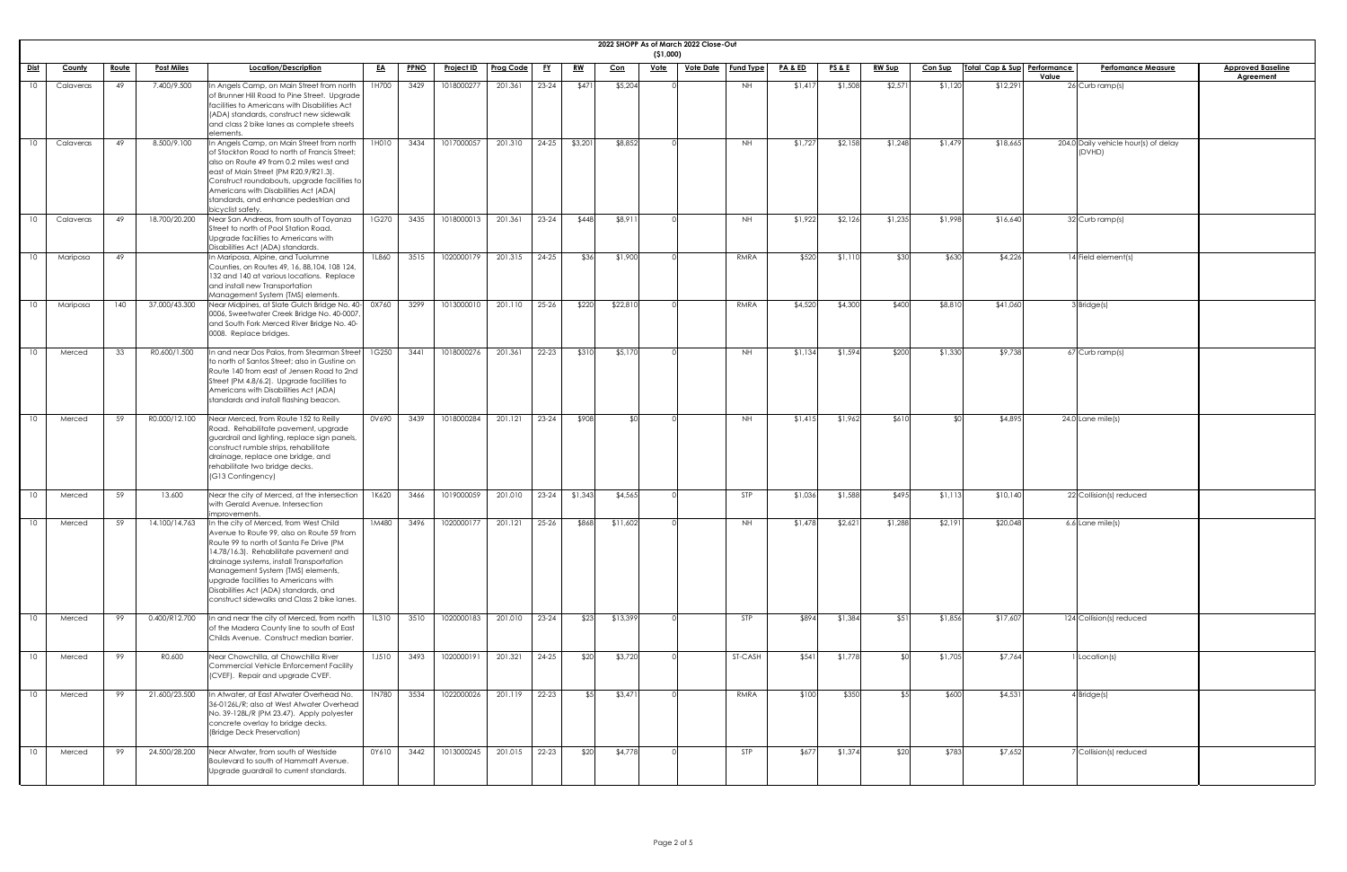| 2022 SHOPP As of March 2022 Close-Out<br>( \$1,000) |               |              |                   |                                                                                                                                                                                                                                                                                                                                                                                           |              |             |                   |                  |           |           |            |             |                  |                  |                    |                 |               |                |                             |                                                |                                              |
|-----------------------------------------------------|---------------|--------------|-------------------|-------------------------------------------------------------------------------------------------------------------------------------------------------------------------------------------------------------------------------------------------------------------------------------------------------------------------------------------------------------------------------------------|--------------|-------------|-------------------|------------------|-----------|-----------|------------|-------------|------------------|------------------|--------------------|-----------------|---------------|----------------|-----------------------------|------------------------------------------------|----------------------------------------------|
| <u>Dist</u>                                         | <b>County</b> | <u>Route</u> | <b>Post Miles</b> | Location/Description                                                                                                                                                                                                                                                                                                                                                                      | <u>EA</u>    | <b>PPNO</b> | <b>Project ID</b> | <b>Prog Code</b> | <u>FY</u> | <u>RW</u> | <u>Con</u> | <u>Vote</u> | <u>Vote Date</u> | <b>Fund Type</b> | <u>PA &amp; ED</u> | <u>PS&amp;E</u> | <b>RW Sup</b> | <b>Con Sup</b> | Total Cap & Sup Performance | <b>Perfomance Measure</b><br>Value             | <b>Approved Baseline</b><br><b>Agreement</b> |
| 10                                                  | Calaveras     | 49           | 7.400/9.500       | In Angels Camp, on Main Street from north<br>of Brunner Hill Road to Pine Street. Upgrade<br>facilities to Americans with Disabilities Act<br>(ADA) standards, construct new sidewalk<br>and class 2 bike lanes as complete streets<br>elements.                                                                                                                                          | 1H700        | 3429        | 1018000277        | 201.361          | $23 - 24$ | \$471     | \$5,204    |             |                  | NH               | \$1,417            | \$1,508         | \$2,57        | \$1,120        | \$12,291                    | $26$ Curb ramp(s)                              |                                              |
| 10                                                  | Calaveras     | 49           | 8.500/9.100       | In Angels Camp, on Main Street from north<br>of Stockton Road to north of Francis Street;<br>also on Route 49 from 0.2 miles west and<br>east of Main Street (PM R20.9/R21.3).<br>Construct roundabouts, upgrade facilities to<br>Americans with Disabilities Act (ADA)<br>standards, and enhance pedestrian and<br>bicyclist safety.                                                     | 1H010        | 3434        | 1017000057        | 201.310          | $24-25$   | \$3,201   | \$8,852    |             |                  | NH               | \$1,727            | \$2,158         | \$1,248       | \$1,479        | \$18,665                    | 204.0 Daily vehicle hour(s) of delay<br>(DVHD) |                                              |
| 10                                                  | Calaveras     | 49           | 18.700/20.200     | Near San Andreas, from south of Toyanza<br>Street to north of Pool Station Road.<br>Upgrade facilities to Americans with<br>Disabilities Act (ADA) standards.                                                                                                                                                                                                                             | 1G270        | 3435        | 1018000013        | 201.361          | $23 - 24$ | \$448     | \$8,911    |             |                  | NH.              | \$1,922            | \$2,126         | \$1,235       | \$1,998        | \$16,640                    | 32 Curb ramp(s)                                |                                              |
| 10                                                  | Mariposa      | 49           |                   | In Mariposa, Alpine, and Tuolumne<br>Counties, on Routes 49, 16, 88, 104, 108 124,<br>132 and 140 at various locations. Replace<br>and install new Transportation<br>Management System (TMS) elements.                                                                                                                                                                                    | 1L860        | 3515        | 1020000179        | 201.315          | $24 - 25$ | \$36      | \$1,900    |             |                  | RMRA             | \$520              | \$1,110         | \$30          | \$630          | \$4,226                     | 14 Field element(s)                            |                                              |
| 10                                                  | Mariposa      | 140          | 37.000/43.300     | Near Midpines, at Slate Gulch Bridge No. 40- 0X760<br>0006, Sweetwater Creek Bridge No. 40-0007,<br>and South Fork Merced River Bridge No. 40-<br>0008. Replace bridges.                                                                                                                                                                                                                  |              | 3299        | 1013000010        | 201.110          | 25-26     | \$220     | \$22,810   |             |                  | RMRA             | \$4,520            | \$4,300         | \$400         | \$8,810        | \$41,060                    | $3$ Bridge(s)                                  |                                              |
| 10                                                  | Merced        | 33           | R0.600/1.500      | In and near Dos Palos, from Stearman Street<br>to north of Santos Street; also in Gustine on<br>Route 140 from east of Jensen Road to 2nd<br>Street (PM 4.8/6.2). Upgrade facilities to<br>Americans with Disabilities Act (ADA)<br>standards and install flashing beacon.                                                                                                                | 1G250        | 3441        | 1018000276        | 201.361          | $22 - 23$ | \$310     | \$5,170    |             |                  | NH.              | \$1,134            | \$1,594         | \$200         | \$1,330        | \$9,738                     | $67$ Curb ramp(s)                              |                                              |
| 10                                                  | Merced        | 59           | R0.000/12.100     | Near Merced, from Route 152 to Reilly<br>Road. Rehabilitate pavement, upgrade<br>guardrail and lighting, replace sign panels,<br>construct rumble strips, rehabilitate<br>drainage, replace one bridge, and<br>rehabilitate two bridge decks.<br>(G13 Contingency)                                                                                                                        | 0V690        | 3439        | 1018000284        | 201.121          | $23 - 24$ | \$908     | SOI        |             |                  | <b>NH</b>        | \$1,415            | \$1,962         | \$610         |                | \$4,895                     | $24.0$ Lane mile(s)                            |                                              |
| 10                                                  | Merced        | 59           | 13.600            | Near the city of Merced, at the intersection<br>with Gerald Avenue. Intersection<br>improvements.                                                                                                                                                                                                                                                                                         | 1K620        | 3466        | 1019000059        | 201.010          | $23-24$   | \$1,343   | \$4,565    |             |                  | STP              | \$1,036            | \$1,588         | \$495         | \$1,113        | \$10,140                    | 22 Collision(s) reduced                        |                                              |
| 10                                                  | Merced        | 59           | 14.100/14.763     | In the city of Merced, from West Child<br>Avenue to Route 99, also on Route 59 from<br>Route 99 to north of Santa Fe Drive (PM<br>14.78/16.3). Rehabilitate pavement and<br>drainage systems, install Transportation<br>Management System (TMS) elements,<br>upgrade facilities to Americans with<br>Disabilities Act (ADA) standards, and<br>construct sidewalks and Class 2 bike lanes. | 1M480        | 3496        | 1020000177        | 201.121          | $25 - 26$ | \$868     | \$11,602   |             |                  | <b>NH</b>        | \$1,478            | \$2,621         | \$1,288       | \$2,191        | \$20,048                    | 6.6 Lane mile(s)                               |                                              |
| 10                                                  | Merced        | 99           | 0.400/R12.700     | In and near the city of Merced, from north<br>of the Madera County line to south of East<br>Childs Avenue. Construct median barrier.                                                                                                                                                                                                                                                      | 1L310        | 3510        | 1020000183        | 201.010          | $23 - 24$ | \$23      | \$13,399   |             |                  | <b>STP</b>       | \$894              | \$1,384         | \$51          | \$1,856        | \$17,607                    | 124 Collision(s) reduced                       |                                              |
| 10 <sup>°</sup>                                     | Merced        | 99           | R0.600            | Near Chowchilla, at Chowchilla River<br>Commercial Vehicle Enforcement Facility<br>(CVEF). Repair and upgrade CVEF.                                                                                                                                                                                                                                                                       | <b>1J510</b> | 3493        | 1020000191        | 201.321          | $24 - 25$ | \$20      | \$3,720    |             |                  | ST-CASH          | \$541              | \$1,778         |               | \$1,705        | \$7,764                     | Location(s)                                    |                                              |
| 10                                                  | Merced        | 99           | 21.600/23.500     | In Atwater, at East Atwater Overhead No.<br>36-0126L/R; also at West Atwater Overhead<br>No. 39-128L/R (PM 23.47). Apply polyester<br>concrete overlay to bridge decks.<br>(Bridge Deck Preservation)                                                                                                                                                                                     | 1N780        | 3534        | 1022000026        | 201.119          | 22-23     | \$5       | \$3,471    |             |                  | RMRA             | \$100              | \$350           |               | \$600          | \$4,531                     | $4$ Bridge(s)                                  |                                              |
| 10                                                  | Merced        | 99           | 24.500/28.200     | Near Atwater, from south of Westside<br>Boulevard to south of Hammatt Avenue.<br>Upgrade guardrail to current standards.                                                                                                                                                                                                                                                                  | 0Y610        | 3442        | 1013000245        | 201.015          | 22-23     | \$20      | \$4,778    |             |                  | STP              | \$677              | \$1,374         | \$20          | \$783          | \$7,652                     | 7 Collision(s) reduced                         |                                              |

| <u>ine</u> |
|------------|
|            |
|            |
|            |
|            |
|            |
|            |
|            |
|            |
|            |
|            |
|            |
|            |
|            |
|            |
|            |
|            |
|            |
|            |
|            |
|            |
|            |
|            |
|            |
|            |
|            |
|            |
|            |
|            |
|            |
|            |
|            |
|            |
|            |
|            |
|            |
|            |
|            |
|            |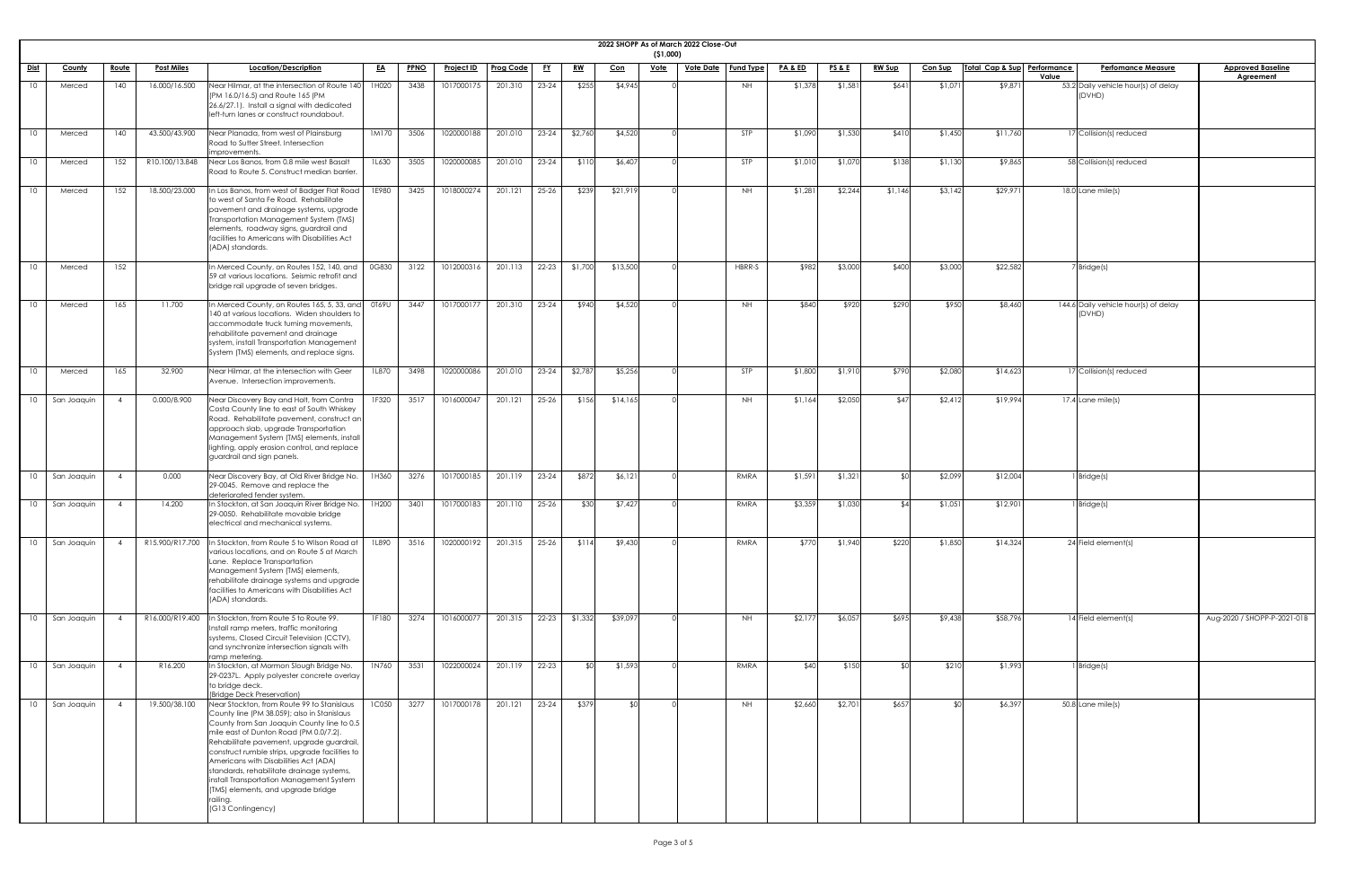|                 |                  |       |                   |                                                                                                                                                                                                                                                                                                                                                                                                                                                                                           |           |             |                   |           |           |           |            | ( \$1,000)  | 2022 SHOPP As of March 2022 Close-Out |                  |                    |                 |               |                |                             |                                                |                                              |
|-----------------|------------------|-------|-------------------|-------------------------------------------------------------------------------------------------------------------------------------------------------------------------------------------------------------------------------------------------------------------------------------------------------------------------------------------------------------------------------------------------------------------------------------------------------------------------------------------|-----------|-------------|-------------------|-----------|-----------|-----------|------------|-------------|---------------------------------------|------------------|--------------------|-----------------|---------------|----------------|-----------------------------|------------------------------------------------|----------------------------------------------|
| <u>Dist</u>     | <b>County</b>    | Route | <u>Post Miles</u> | Location/Description                                                                                                                                                                                                                                                                                                                                                                                                                                                                      | <u>EA</u> | <b>PPNO</b> | <b>Project ID</b> | Prog Code | <u>FY</u> | <u>RW</u> | <u>Con</u> | <u>Vote</u> | <u>Vote Date</u>                      | <b>Fund Type</b> | <b>PA &amp; ED</b> | <u>PS&amp;E</u> | <b>RW Sup</b> | <b>Con Sup</b> | Total Cap & Sup Performance | <b>Perfomance Measure</b><br>Value             | <b>Approved Baseline</b><br><b>Agreement</b> |
| 10              | Merced           | 140   | 16.000/16.500     | Near Hilmar, at the intersection of Route 140<br>[PM 16.0/16.5] and Route 165 (PM<br>26.6/27.1). Install a signal with dedicated<br>left-turn lanes or construct roundabout.                                                                                                                                                                                                                                                                                                              | 1H020     | 3438        | 1017000175        | 201.310   | 23-24     | \$255     | \$4,945    |             |                                       | NH               | \$1,378            | \$1,581         | \$641         | \$1,071        | \$9,871                     | 53.2 Daily vehicle hour(s) of delay<br>(DVHD)  |                                              |
| 10              | Merced           | 140   | 43.500/43.900     | Near Planada, from west of Plainsburg<br>Road to Sutter Street. Intersection<br>improvements                                                                                                                                                                                                                                                                                                                                                                                              | 1M170     | 3506        | 1020000188        | 201.010   | $23-24$   | \$2,760   | \$4,520    |             |                                       | STP              | \$1,090            | \$1,530         | \$410         | \$1,450        | \$11,760                    | 17 Collision(s) reduced                        |                                              |
| 10              | Merced           | 152   | R10.100/13.848    | Near Los Banos, from 0.8 mile west Basalt<br>Road to Route 5. Construct median barrier.                                                                                                                                                                                                                                                                                                                                                                                                   | 1L630     | 3505        | 1020000085        | 201.010   | 23-24     | \$110     | \$6,407    |             |                                       | STP              | \$1,010            | \$1,070         | \$138         | \$1,130        | \$9,865                     | 58 Collision(s) reduced                        |                                              |
| 10              | Merced           | 152   | 18.500/23.000     | In Los Banos, from west of Badger Flat Road<br>to west of Santa Fe Road. Rehabilitate<br>pavement and drainage systems, upgrade<br>Transportation Management System (TMS)<br>elements, roadway signs, guardrail and<br>facilities to Americans with Disabilities Act<br>(ADA) standards.                                                                                                                                                                                                  | 1E980     | 3425        | 1018000274        | 201.121   | 25-26     | \$239     | \$21,919   |             |                                       | NH.              | \$1,281            | \$2,244         | \$1,146       | \$3,142        | \$29,971                    | 18.0 Lane mile(s)                              |                                              |
|                 | Merced           | 152   |                   | In Merced County, on Routes 152, 140, and<br>59 at various locations. Seismic retrofit and<br>bridge rail upgrade of seven bridges.                                                                                                                                                                                                                                                                                                                                                       | 0G830     | 3122        | 1012000316        | 201.113   | $22 - 23$ | \$1,700   | \$13,500   |             |                                       | HBRR-S           | \$982              | \$3,000         | \$400         | \$3,000        | \$22,582                    | 7 Bridge(s)                                    |                                              |
| 10              | Merced           | 165   | 11.700            | In Merced County, on Routes 165, 5, 33, and<br>140 at various locations. Widen shoulders to<br>accommodate truck turning movements,<br>rehabilitate pavement and drainage<br>system, install Transportation Management<br>System (TMS) elements, and replace signs.                                                                                                                                                                                                                       | 0T69U     | 3447        | 1017000177        | 201.310   | $23-24$   | \$940     | \$4,520    |             |                                       | <b>NH</b>        | \$840              | \$920           | \$290         | \$950          | \$8,460                     | 144.6 Daily vehicle hour(s) of delay<br>(DVHD) |                                              |
| 10              | Merced           | 165   | 32.900            | Near Hilmar, at the intersection with Geer<br>Avenue. Intersection improvements.                                                                                                                                                                                                                                                                                                                                                                                                          | 1L870     | 3498        | 1020000086        | 201.010   | $23 - 24$ | \$2,787   | \$5,256    |             |                                       | <b>STP</b>       | \$1,800            | \$1,910         | \$790         | \$2,080        | \$14,623                    | 17 Collision(s) reduced                        |                                              |
| 10              | San Joaquin      |       | 0.000/8.900       | Near Discovery Bay and Holt, from Contra<br>Costa County line to east of South Whiskey<br>Road. Rehabilitate pavement, construct an<br>approach slab, upgrade Transportation<br>Management System (TMS) elements, install<br>lighting, apply erosion control, and replace<br>guardrail and sign panels.                                                                                                                                                                                   | 1F320     | 3517        | 1016000047        | 201.121   | 25-26     | \$156     | \$14,165   |             |                                       | <b>NH</b>        | \$1,164            | \$2,050         | \$47          | \$2,412        | \$19,994                    | 17.4 Lane mile(s)                              |                                              |
| 10              | San Joaquin      |       | 0.000             | Near Discovery Bay, at Old River Bridge No.<br>29-0045. Remove and replace the<br>deteriorated fender system.                                                                                                                                                                                                                                                                                                                                                                             | 1H360     | 3276        | 1017000185        | 201.119   | 23-24     | \$872     | \$6,121    |             |                                       | RMRA             | \$1,591            | \$1,321         |               | \$2,099        | \$12,004                    | Bridge(s)                                      |                                              |
| 10 <sup>1</sup> | San Joaquin      |       | 14.200            | In Stockton, at San Joaquin River Bridge No.<br>29-0050. Rehabilitate movable bridge<br>electrical and mechanical systems.                                                                                                                                                                                                                                                                                                                                                                | 1H200     | 3401        | 1017000183        | 201.110   | 25-26     | \$30      | \$7,427    |             |                                       | <b>RMRA</b>      | \$3,359            | \$1,030         | $\mathcal{L}$ | \$1,051        | \$12,901                    | 1 Bridge(s)                                    |                                              |
|                 | 10   San Joaquin |       | R15.900/R17.700   | In Stockton, from Route 5 to Wilson Road at<br>various locations, and on Route 5 at March<br>Lane. Replace Transportation<br>Management System (TMS) elements,<br>rehabilitate drainage systems and upgrade<br>facilities to Americans with Disabilities Act<br>(ADA) standards.                                                                                                                                                                                                          | 1L890     | 3516        | 1020000192        | 201.315   | 25-26     | \$114     | \$9,430    |             |                                       | <b>RMRA</b>      | \$770              | \$1,940         | \$220         | \$1,850        | \$14,324                    | 24 Field element(s)                            |                                              |
|                 | 10   San Joaquin |       | R16.000/R19.400   | n Stockton, from Route 5 to Route 99.<br>Install ramp meters, traffic monitoring<br>systems, Closed Circuit Television (CCTV),<br>and synchronize intersection signals with<br>ramp metering.                                                                                                                                                                                                                                                                                             | 1F180     | 3274        | 1016000077        | 201.315   | $22 - 23$ | \$1,332   | \$39,097   |             |                                       | NH               | \$2,177            | \$6,057         | \$695         | \$9,438        | \$58,796                    | 14 Field element(s)                            | Aug-2020 / SHOPP-P-2021-01B                  |
|                 | 10 San Joaquin   |       | R16.200           | In Stockton, at Mormon Slough Bridge No.<br>29-0237L. Apply polyester concrete overlay<br>to bridge deck.<br>(Bridge Deck Preservation)                                                                                                                                                                                                                                                                                                                                                   | 1N760     | 3531        | 1022000024        | 201.119   | 22-23     | ≮∩        | \$1,593    |             |                                       | RMRA             | \$40               | \$150           |               | \$210          | \$1,993                     | Bridge(s)                                      |                                              |
|                 | 10   San Joaquin |       | 19.500/38.100     | Near Stockton, from Route 99 to Stanislaus<br>County line (PM 38.059); also in Stanislaus<br>County from San Joaquin County line to 0.5<br>mile east of Dunton Road (PM 0.0/7.2).<br>Rehabilitate pavement, upgrade guardrail,<br>construct rumble strips, upgrade facilities to<br>Americans with Disabilities Act (ADA)<br>standards, rehabilitate drainage systems,<br>install Transportation Management System<br>(TMS) elements, and upgrade bridge<br>railing.<br>(G13 Contingency) | 1C050     | 3277        | 1017000178        | 201.121   | 23-24     | \$379     | \$0        |             |                                       | <b>NH</b>        | \$2,660            | \$2,701         | \$657         | ¶∩\$           | \$6,397                     | $50.8$ Lane mile(s)                            |                                              |

| 2021-01B |             |
|----------|-------------|
|          |             |
|          | <u>line</u> |
|          |             |
|          |             |
|          |             |
|          |             |
|          |             |
|          |             |
|          |             |
|          |             |
|          |             |
|          |             |
|          |             |
|          |             |
|          |             |
|          |             |
|          |             |
|          |             |
|          |             |
|          |             |
|          |             |
|          |             |
|          |             |
|          |             |
|          |             |
|          |             |
|          |             |
|          |             |
|          |             |
|          |             |
|          |             |
|          |             |
|          |             |
|          |             |
|          |             |
|          |             |
|          |             |
|          |             |
|          |             |
|          |             |
|          |             |
|          |             |
|          |             |
|          |             |
|          |             |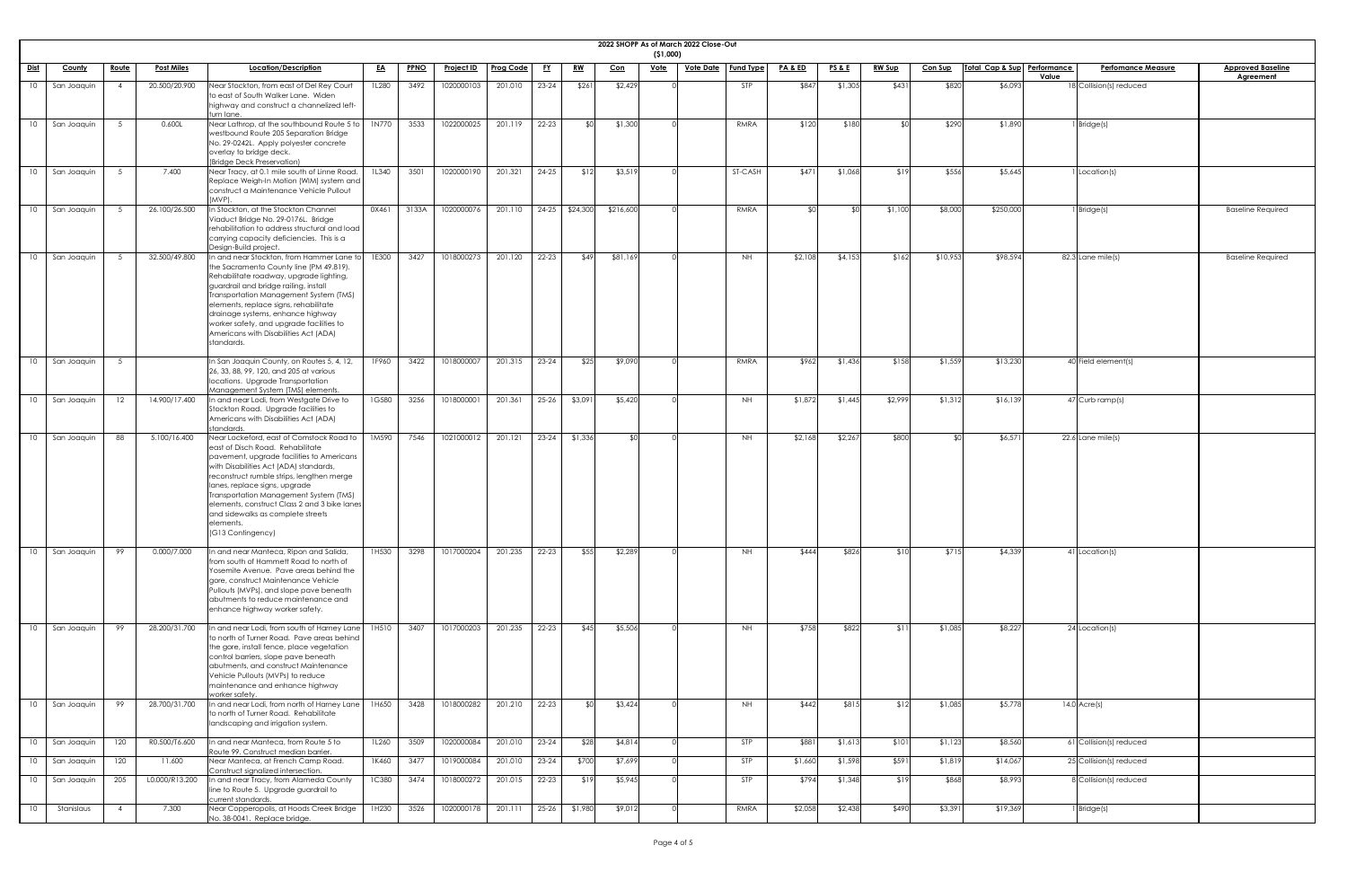|                 |                  |                |                   |                                                                                                                                                                                                                                                                                                                                                                                                                    |              |             |                   |                  |           |                 |           | ( \$1,000)     | 2022 SHOPP As of March 2022 Close-Out |                  |                    |                 |               |                |                             |                           |                          |
|-----------------|------------------|----------------|-------------------|--------------------------------------------------------------------------------------------------------------------------------------------------------------------------------------------------------------------------------------------------------------------------------------------------------------------------------------------------------------------------------------------------------------------|--------------|-------------|-------------------|------------------|-----------|-----------------|-----------|----------------|---------------------------------------|------------------|--------------------|-----------------|---------------|----------------|-----------------------------|---------------------------|--------------------------|
| <u>Dist</u>     | <b>County</b>    | Route          | <u>Post Miles</u> | Location/Description                                                                                                                                                                                                                                                                                                                                                                                               | <u>EA</u>    | <b>PPNO</b> | <u>Project ID</u> | <b>Prog Code</b> | <u>FY</u> | <u>RW</u>       | $Con$     | <u>Vote</u>    | <u>Vote Date</u>                      | <b>Fund Type</b> | <b>PA &amp; ED</b> | <b>PS&amp;E</b> | <b>RW Sup</b> | <b>Con Sup</b> | Total Cap & Sup Performance | <b>Perfomance Measure</b> | <b>Approved Baseline</b> |
| 10              | San Joaquin      |                | 20.500/20.900     | Near Stockton, from east of Del Rey Court<br>to east of South Walker Lane. Widen<br>highway and construct a channelized left-<br>turn lane.                                                                                                                                                                                                                                                                        | 1L280        | 3492        | 1020000103        | 201.010          | $23 - 24$ | \$261           | \$2,429   |                |                                       | STP              | \$847              | \$1,305         | \$431         | \$820          | Value<br>\$6,093            | 18 Collision(s) reduced   | <b>Agreement</b>         |
| 10              | San Joaquin      |                | 0.600L            | Near Lathrop, at the southbound Route 5 to<br>westbound Route 205 Separation Bridge<br>No. 29-0242L. Apply polyester concrete<br>overlay to bridge deck.<br>(Bridge Deck Preservation)                                                                                                                                                                                                                             | 1N770        | 3533        | 1022000025        | 201.119          | $22 - 23$ | ⊀∩∣             | \$1,300   |                |                                       | <b>RMRA</b>      | \$120              | \$180           |               | \$290          | \$1,890                     | 1 Bridge(s)               |                          |
| 10              | San Joaquin      |                | 7.400             | Near Tracy, at 0.1 mile south of Linne Road.<br>Replace Weigh-In Motion (WIM) system and<br>construct a Maintenance Vehicle Pullout<br>(MVP).                                                                                                                                                                                                                                                                      | 1L340        | 3501        | 1020000190        | 201.321          | $24 - 25$ | \$12            | \$3,519   |                |                                       | ST-CASH          | \$471              | \$1,068         | \$19          | \$556          | \$5,645                     | I Location(s)             |                          |
| 10              | San Joaquin      |                | 26.100/26.500     | In Stockton, at the Stockton Channel<br>Viaduct Bridge No. 29-0176L. Bridge<br>rehabilitation to address structural and load<br>carrying capacity deficiencies. This is a<br>Design-Build project.                                                                                                                                                                                                                 | 0X461        | 3133A       | 1020000076        | 201.110          |           | 24-25 \$24,300  | \$216,600 |                |                                       | <b>RMRA</b>      | ¢∩                 |                 | \$1,100       | \$8,000        | \$250,000                   | 1 Bridge(s)               | <b>Baseline Required</b> |
| 10 <sup>°</sup> | San Joaquin      |                | 32.500/49.800     | In and near Stockton, from Hammer Lane to<br>the Sacramento County line (PM 49.819).<br>Rehabilitate roadway, upgrade lighting,<br>guardrail and bridge railing, install<br>Transportation Management System (TMS)<br>elements, replace signs, rehabilitate<br>drainage systems, enhance highway<br>worker safety, and upgrade facilities to<br>Americans with Disabilities Act (ADA)<br>standards.                | 1E300        | 3427        | 1018000273        | 201.120          | $22 - 23$ | \$49            | \$81,169  |                |                                       | <b>NH</b>        | \$2,108            | \$4,153         | \$162         | \$10,953       | \$98,594                    | 82.3 Lane mile(s)         | <b>Baseline Required</b> |
|                 | 10   San Joaquin | 5              |                   | In San Joaquin County, on Routes 5, 4, 12,<br>26, 33, 88, 99, 120, and 205 at various<br>locations. Upgrade Transportation<br>Management System (TMS) elements.                                                                                                                                                                                                                                                    | 1F960        |             | 3422 1018000007   | 201.315 23-24    |           | $\sqrt{$25}$    | \$9,090   |                |                                       | RMRA             | \$962              | \$1,436         | \$158         | \$1,559        | \$13,230                    | 40 Field element(s)       |                          |
| 10              | San Joaquin      |                | 14.900/17.400     | In and near Lodi, from Westgate Drive to<br>Stockton Road. Upgrade facilities to<br>Americans with Disabilities Act (ADA)<br>standards.                                                                                                                                                                                                                                                                            | 1G580        | 3256        | 1018000001        | 201.361          | $25-26$   | \$3,091         | \$5,420   |                |                                       | <b>NH</b>        | \$1,872            | \$1,445         | \$2,999       | \$1,312        | \$16,139                    | 47 Curb ramp(s)           |                          |
| 10              | San Joaquin      | 88             | 5.100/16.400      | Near Lockeford, east of Comstock Road to<br>east of Disch Road. Rehabilitate<br>pavement, upgrade facilities to Americans<br>with Disabilities Act (ADA) standards,<br>reconstruct rumble strips, lengthen merge<br>lanes, replace signs, upgrade<br>Transportation Management System (TMS)<br>elements, construct Class 2 and 3 bike lanes<br>and sidewalks as complete streets<br>elements.<br>(G13 Contingency) | 1M590        | 7546        | 1021000012        | 201.121          |           | $23-24$ \$1,336 |           | $\mathfrak{C}$ |                                       | <b>NH</b>        | \$2,168            | \$2,267         | \$800         |                | \$6,571                     | 22.6 Lane mile(s)         |                          |
| 10 <sup>°</sup> | San Joaquin      | 99             | 0.000/7.000       | In and near Manteca, Ripon and Salida,<br>from south of Hammett Road to north of<br>Yosemite Avenue. Pave areas behind the<br>gore, construct Maintenance Vehicle<br>Pullouts (MVPs), and slope pave beneath<br>abutments to reduce maintenance and<br>enhance highway worker safety.                                                                                                                              | 1H530        | 3298        | 1017000204        | 201.235          | $22 - 23$ | \$55            | \$2,289   |                |                                       | NH               | \$444              | \$826           | \$10          | \$715          | \$4,339                     | 41 Location(s)            |                          |
| 10              | San Joaquin      | 99             | 28.200/31.700     | In and near Lodi, from south of Harney Lane<br>to north of Turner Road. Pave areas behind<br>the gore, install fence, place vegetation<br>control barriers, slope pave beneath<br>abutments, and construct Maintenance<br>Vehicle Pullouts (MVPs) to reduce<br>maintenance and enhance highway<br>worker safety.                                                                                                   | 1H510        | 3407        | 1017000203        | 201.235          | $22 - 23$ | \$45            | \$5,506   |                |                                       | NH               | \$758              | \$822           | - S.I         | \$1,085        | \$8,227                     | 24 Location(s)            |                          |
| 10              | San Joaquin      | 99             | 28.700/31.700     | In and near Lodi, from north of Harney Lane<br>to north of Turner Road. Rehabilitate<br>landscaping and irrigation system.                                                                                                                                                                                                                                                                                         | 1H650        | 3428        | 1018000282        | 201.210          | $22 - 23$ | <b>\$0</b>      | \$3,424   |                |                                       | NH               | \$442              | \$815           | \$12          | \$1,085        | \$5,778                     | $14.0$ Acre(s)            |                          |
| 10              | San Joaquin      | 120            | R0.500/T6.600     | In and near Manteca, from Route 5 to<br>Route 99. Construct median barrier.                                                                                                                                                                                                                                                                                                                                        | 1L260        | 3509        | 1020000084        | 201.010          | $23 - 24$ | \$28            | \$4,814   |                |                                       | STP              | \$881              | \$1,613         | \$101         | \$1,123        | \$8,560                     | 61 Collision(s) reduced   |                          |
| 10              | San Joaquin      | 120            | 11.600            | Near Manteca, at French Camp Road.<br>Construct signalized intersection.                                                                                                                                                                                                                                                                                                                                           | 1K460        | 3477        | 1019000084        | 201.010          | $23 - 24$ | \$700           | \$7,699   |                |                                       | STP              | \$1,660            | \$1,598         | \$591         | \$1,819        | \$14,067                    | 25 Collision(s) reduced   |                          |
| 10              | San Joaquin      | 205            | L0.000/R13.200    | In and near Tracy, from Alameda County<br>line to Route 5. Upgrade guardrail to<br>current standards.                                                                                                                                                                                                                                                                                                              | <b>1C380</b> | 3474        | 1018000272        | 201.015          | $22 - 23$ | \$19            | \$5,945   |                |                                       | STP              | \$794              | \$1,348         | \$19          | \$868          | \$8,993                     | 8 Collision(s) reduced    |                          |
| 10              | Stanislaus       | $\overline{4}$ | 7.300             | Near Copperopolis, at Hoods Creek Bridge<br>No. 38-0041. Replace bridge.                                                                                                                                                                                                                                                                                                                                           | 1H230        | 3526        | 1020000178        | 201.111          |           | $25-26$ \$1,980 | \$9,012   |                |                                       | RMRA             | \$2,058            | \$2,438         | \$490         | \$3,391        | \$19,369                    | $1$ Bridge(s)             |                          |

| <u>ine</u>     |
|----------------|
|                |
|                |
|                |
|                |
|                |
|                |
| ed             |
|                |
|                |
| $\overline{e}$ |
|                |
|                |
|                |
|                |
|                |
|                |
|                |
|                |
|                |
|                |
|                |
|                |
|                |
|                |
|                |
|                |
|                |
|                |
|                |
|                |
|                |
|                |
|                |
|                |
|                |
|                |
|                |
|                |
|                |
|                |